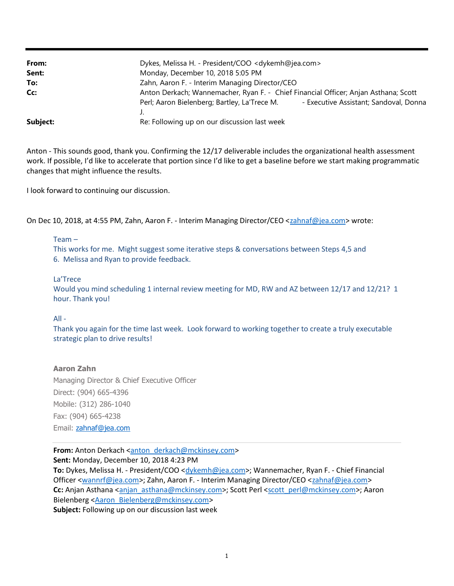| From:    | Dykes, Melissa H. - President/COO < dykemh@jea.com>                                 |                                        |
|----------|-------------------------------------------------------------------------------------|----------------------------------------|
| Sent:    | Monday, December 10, 2018 5:05 PM                                                   |                                        |
| To:      | Zahn, Aaron F. - Interim Managing Director/CEO                                      |                                        |
| Cc:      | Anton Derkach; Wannemacher, Ryan F. - Chief Financial Officer; Anjan Asthana; Scott |                                        |
|          | Perl; Aaron Bielenberg; Bartley, La'Trece M.                                        | - Executive Assistant; Sandoval, Donna |
|          | J.                                                                                  |                                        |
| Subject: | Re: Following up on our discussion last week                                        |                                        |

Anton - This sounds good, thank you. Confirming the 12/17 deliverable includes the organizational health assessment work. If possible, I'd like to accelerate that portion since I'd like to get a baseline before we start making programmatic changes that might influence the results.

I look forward to continuing our discussion.

On Dec 10, 2018, at 4:55 PM, Zahn, Aaron F. - Interim Managing Director/CEO <zahnaf@jea.com> wrote:

### Team –

This works for me. Might suggest some iterative steps & conversations between Steps 4,5 and 6. Melissa and Ryan to provide feedback.

### La'Trece

Would you mind scheduling 1 internal review meeting for MD, RW and AZ between 12/17 and 12/21? 1 hour. Thank you!

## $All -$

Thank you again for the time last week. Look forward to working together to create a truly executable strategic plan to drive results!

## Aaron Zahn

Managing Director & Chief Executive Officer Direct: (904) 665-4396 Mobile: (312) 286-1040 Fax: (904) 665-4238 Email: zahnaf@jea.com

## From: Anton Derkach <anton\_derkach@mckinsey.com>

Sent: Monday, December 10, 2018 4:23 PM

To: Dykes, Melissa H. - President/COO <dykemh@jea.com>; Wannemacher, Ryan F. - Chief Financial Officer <wannrf@jea.com>; Zahn, Aaron F. - Interim Managing Director/CEO <zahnaf@jea.com> Cc: Anjan Asthana <anjan\_asthana@mckinsey.com>; Scott Perl <scott\_perl@mckinsey.com>; Aaron Bielenberg <Aaron\_Bielenberg@mckinsey.com> Subject: Following up on our discussion last week